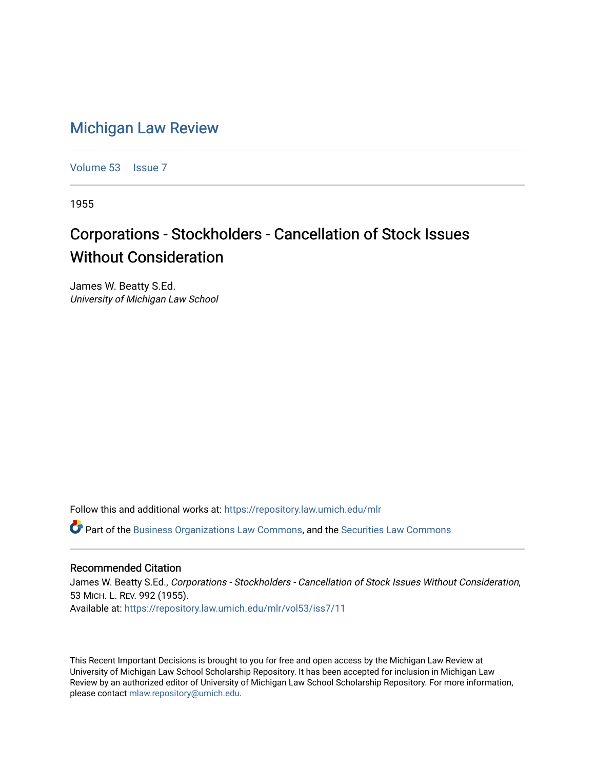## [Michigan Law Review](https://repository.law.umich.edu/mlr)

[Volume 53](https://repository.law.umich.edu/mlr/vol53) | [Issue 7](https://repository.law.umich.edu/mlr/vol53/iss7)

1955

## Corporations - Stockholders - Cancellation of Stock Issues Without Consideration

James W. Beatty S.Ed. University of Michigan Law School

Follow this and additional works at: [https://repository.law.umich.edu/mlr](https://repository.law.umich.edu/mlr?utm_source=repository.law.umich.edu%2Fmlr%2Fvol53%2Fiss7%2F11&utm_medium=PDF&utm_campaign=PDFCoverPages) 

 $\bullet$  Part of the [Business Organizations Law Commons](http://network.bepress.com/hgg/discipline/900?utm_source=repository.law.umich.edu%2Fmlr%2Fvol53%2Fiss7%2F11&utm_medium=PDF&utm_campaign=PDFCoverPages), and the Securities Law Commons

## Recommended Citation

James W. Beatty S.Ed., Corporations - Stockholders - Cancellation of Stock Issues Without Consideration, 53 MICH. L. REV. 992 (1955). Available at: [https://repository.law.umich.edu/mlr/vol53/iss7/11](https://repository.law.umich.edu/mlr/vol53/iss7/11?utm_source=repository.law.umich.edu%2Fmlr%2Fvol53%2Fiss7%2F11&utm_medium=PDF&utm_campaign=PDFCoverPages) 

This Recent Important Decisions is brought to you for free and open access by the Michigan Law Review at University of Michigan Law School Scholarship Repository. It has been accepted for inclusion in Michigan Law Review by an authorized editor of University of Michigan Law School Scholarship Repository. For more information, please contact [mlaw.repository@umich.edu.](mailto:mlaw.repository@umich.edu)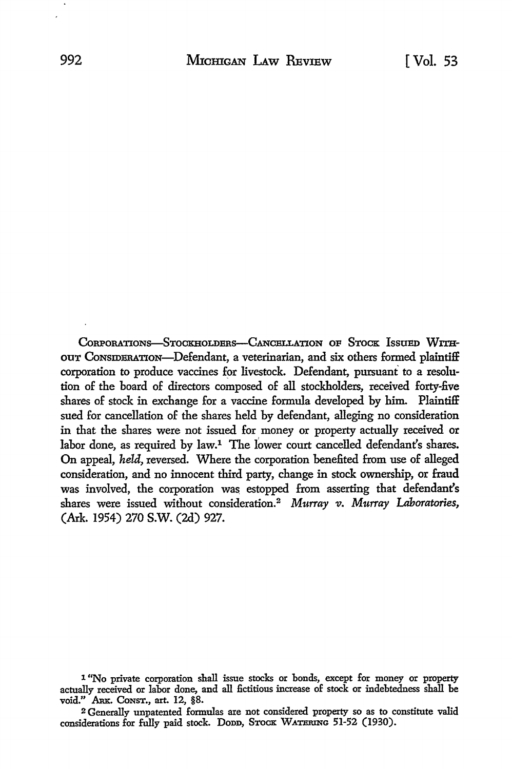CORPORATIONS-STOCKHOLDERS-CANCELLATION OF STOCK ISSUED WITHour Consideration-Defendant, a veterinarian, and six others formed plaintiff corporation to produce vaccines for livestock. Defendant, pursuant' to a resolution of the board of directors composed of all stockholders, received forty-five shares of stock in exchange for a vaccine formula developed by him. Plaintiff sued for cancellation of the shares held by defendant, alleging no consideration in that the shares were not issued for money or property actually received or labor done, as required by law.<sup>1</sup> The lower court cancelled defendant's shares. On appeal, *held,* reversed. Where the corporation benefited from use of alleged consideration, and no innocent third party, change in stock ownership, or fraud was involved, the corporation was estopped from asserting that defendant's shares were issued without consideration.2 *Murray* v. *Murray Laboratories,*  (Ark. 1954) 270 S.W. (2d) 927.

<sup>1 &</sup>quot;No private corporation shall issue stocks or bonds, except for money or property actually received or labor done, and all fictitious increase of stock or indebtedness shall be void." ARK. CONST., art. 12, §8.

<sup>2</sup> Generally unpatented formulas are not considered property so as to constitute valid considerations for fully paid stock. Dopp, STOCK WATERING 51-52 (1930).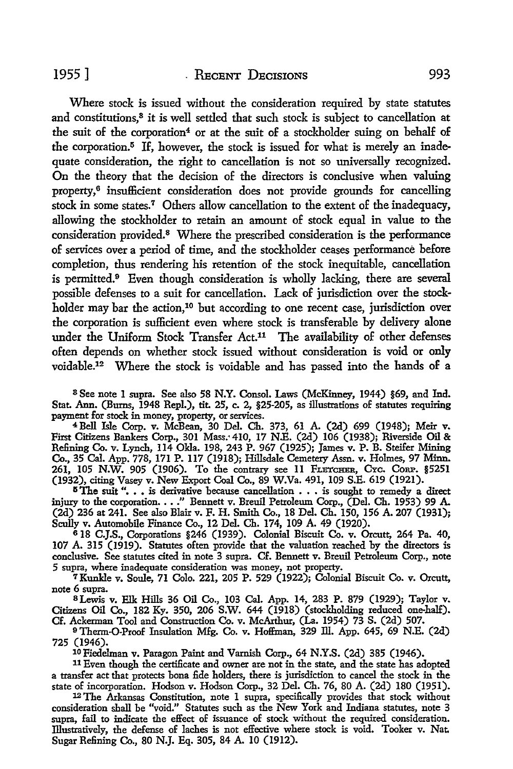Where stock is issued without the consideration required by state statutes and constitutions,<sup>3</sup> it is well settled that such stock is subject to cancellation at the suit of the corporation<sup>4</sup> or at the suit of a stockholder suing on behalf of the corporation. $5$  If, however, the stock is issued for what is merely an inadequate consideration, the right to cancellation is not so universally recognized. On the theory that the decision of the directors is conclusive when valuing property,<sup>6</sup> insufficient consideration does not provide grounds for cancelling stock in some states.7 Others allow cancellation to the extent of the inadequacy, allowing the stockholder to retain an amount of stock equal in value to the consideration provided.<sup>8</sup> Where the prescribed consideration is the performance of services over a period of time, and the stockholder ceases performance before completion, thus rendering his retention of the stock inequitable, cancellation is permitted.9 Even though consideration is wholly lacking, there are several possible defenses to a suit for cancellation. Lack of jurisdiction over the stockholder may bar the action,<sup>10</sup> but according to one recent case, jurisdiction over the corporation is sufficient even where stock is transferable by delivery alone under the Uniform Stock Transfer Act.<sup>11</sup> The availability of other defenses often depends on whether stock issued without consideration is void or only voidable.12 Where the stock is voidable and has passed into the hands of a

8 See note 1 supra. See also 58 N.Y. Consol. Laws (McKinney, 1944) §69, and Ind. Stat. Ann. (Bums, 1948 Repl.), tit. 25, c. 2, §25-205, as illustrations of statutes requiring payment for stock in money, property, or services.

<sup>4</sup>Bell Isle Corp. v. McBean, 30 Del. Ch. 373, 61 A. (2d) 699 (1948); Meir v. First Citizens Bankers Corp., 301 Mass.'410, 17 N.E. (2d) 106 (1938); Riverside Oil & Refining Co. v. Lynch, 114 Okla. 198, 243 P. 967 (1925); James v. P. B. Steifer Mining Co., 35 Cal. App. 778, 171 P. 117 (1918); Hillsdale Cemetery Assn. v. Holmes, 97 Minn. 261, 105 **N.W.** 905 (1906). To the contrary see 11 FLETCHER, CYc. CoRP. §5251 (1932), citing Vasey v. New Export Coal Co., 89 W.Va. 491, 109 S.E. 619 (1921).

 $5$ The suit "... is derivative because cancellation  $\ldots$  is sought to remedy a direct injury to the corporation. . . . " Bennett v. Breuil Petroleum Corp., (Del. Ch. 1953) 99 A. (2d) 236 at 241. See also Blair v. F. H. Smith Co., 18 Del. Ch. 150, 156 A. 207 (1931); Scully v. Automobile Finance Co., 12 Del. Ch. 174, 109 A. 49 (1920).

618 C.J.S., Corporations §246 (1939). Colonial Biscuit Co. v. Orcutt, 264 Pa. 40, 107 A. 315 (1919). Statutes often provide that the valuation reached by the directors is conclusive. See statutes cited in note 3 supra. Cf. Bennett v. Breuil Petroleum Corp., note 5 supra, where inadequate consideration was money, not property.

7 Kunkle v. Soule, 71 Colo. 221, 205 P. 529 (1922); Colonial Biscuit Co. v. Orcutt, note 6 supra.

s Lewis v. Elk Hills 36 Oil Co., 103 Cal. App. 14, 283 P. 879 (1929); Taylor v. Citizens Oil Co., 182 Ky. 350, 206 S.W. 644 (1918) (stockholding reduced one-half). Cf. Ackerman Tool and Construction Co. v. McArthur, (La. 1954) 73 S. (2d) 507.

<sup>9</sup>Therm-0-Proof Insulation Mfg. Co. v. Hoffman, 329 Ill. App. 645, 69 N.E. (2d) 725 (1946).

<sup>10</sup> Fiedelman v. Paragon Paint and Varnish Corp., 64 N.Y.S. (2d) 385 (1946).

<sup>11</sup>Even though the certificate and owner are not in the state, and the state has adopted a transfer act that protects bona £de holders, there is jurisdiction to cancel the stock in the state of incorporation. Hodson v. Hodson Corp., 32 Del. Ch. 76, 80 A. (2d) 180 (1951).

<sup>12</sup> The Arkansas Constitution, note 1 supra, specifically provides that stock without consideration shall be "void." Statutes such as the New York and Indiana statutes, note 3 supra, fail to indicate the effect of issuance of stock without the required consideration. Illustratively, the defense of laches is not effective where stock is void. Tooker v. Nat. Sugar Relining Co., 80 N.J. Eq. 305, 84 A. 10 (1912).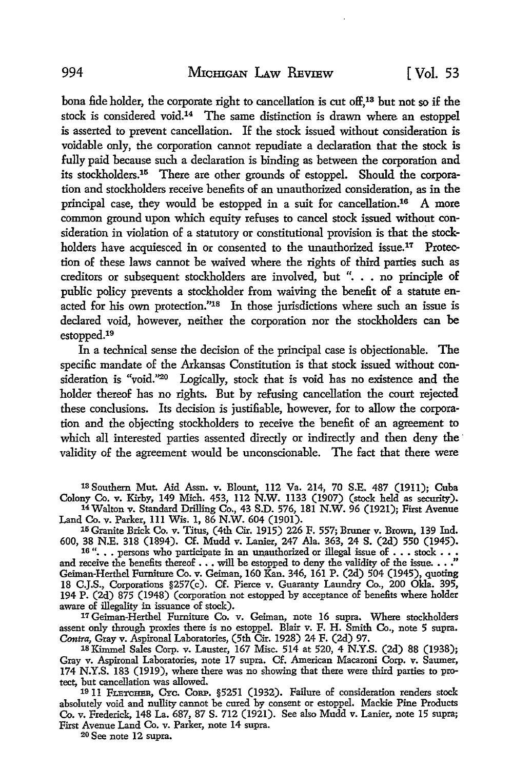bona fide holder, the corporate right to cancellation is cut off,<sup>13</sup> but not so if the stock is considered void.<sup>14</sup> The same distinction is drawn where an estoppel is asserted to prevent cancellation. If the stock issued without consideration is voidable only, the corporation cannot repudiate a declaration that the stock is fully paid because such a declaration is binding as between the corporation and its stockholders.15 There are other grounds of estoppel. Should the corporation and stockholders receive benefits of an unauthorized consideration, as in the principal case, they would be estopped in a suit for cancellation.16 A more common ground upon which equity refuses to cancel stock issued without consideration in violation of a statutory or constitutional provision is that the stockholders have acquiesced in or consented to the unauthorized issue.<sup>17</sup> Protection of these laws cannot be waived where the rights of third parties such as creditors or subsequent stockholders are involved, but ". . • no principle of public policy prevents a stockholder from waiving the benefit of a statute enacted for his own protection."18 In those jurisdictions where such an issue is declared void, however, neither the corporation nor the stockholders can be estopped.19

In a technical sense the decision of the principal case is objectionable. The specific mandate of the Arkansas Constitution is that stock issued without consideration is "void."<sup>20</sup> Logically, stock that is void has no existence and the holder thereof has no rights. But by refusing cancellation the court rejected these conclusions. Its decision is justifiable, however, for to allow the corporation and the objecting stockholders to receive the benefit of an agreement to which all interested parties assented directly or indirectly and then deny the validity of the agreement would be unconscionable. The fact that there were

13 Southern Mut. Aid Assn. v. Blount, 112 Va. 214, 70 S.E. 487 (1911); Cuba Colony Co. v. Kirby, 149 Mich. 453, 112 N.W. 1133 (1907) (stock held as security).

14 Walton v. Standard Drilling Co., 43 S.D. 576, 181 N.W. 96 (1921); First Avenue Land Co. v. Parker, Ill Wis. 1, 86 N.W. 604 (1901).

15Granite Brick Co. v. Titus, (4th Cir. 1915) 226 F. 557; Bruner v. Brown, 139 Ind. 600, 38 N.E. 318 (1894). Cf. Mudd v. Lanier, 247 Ala. 363, 24 S. (2d) 550 (1945). 16 "... 510  $(1027)$ . On indicate in an unauthorized or illegal issue of  $\ldots$  stock  $\ldots$  is

and receive the benefits thereof  $\ldots$  will be estopped to deny the validity of the issue.  $\ldots$ Geiman-Herthel Furniture Co. v. Geiman, 160 Kan. 346, 161 P. (2d) 504 (1945), quoting 18 C.J.S., Corporations §257(c). Cf. Pierce v. Guaranty Laundry Co., 200 Okla. 395, 194 P. (2d) 875 (1948) (corporation not estopped by acceptance of benefits where holder aware of illegality in issuance of stock).

17 Geiman-Herthel Furniture Co. v. Geiman, note 16 supra. Where stockholders assent only through proxies there is no estoppel. Blair v. F. H. Smith Co., note 5 supra. *Contra,* Gray v. Aspironal Laboratories, (5th Cir. 1928) 24 F. (2d) 97.

18 Kimmel Sales Corp. v. Lauster, 167 Misc. 514 at 520, 4 N.Y.S. (2d) 88 (1938); Gray v. Aspironal Laboratories, note 17 supra. Cf. American Macaroni Corp. v. Sawner, 174 N.Y.S. 183 (1919), where there was no showing that there were third parties to protect, but cancellation was allowed.

19 11 FLETCHER, CYc. CoRP. §5251 (1932). Failure of consideration renders stock absolutely void and nullity cannot be cured by consent or estoppel. Mackie Pine Products Co. v. Frederick, 148 La. 687, 87 S. 712 (1921). See also Mudd v. Lanier, note 15 supra; First Avenue Land Co. v. Parker, note 14 supra.

20 See note 12 supra.